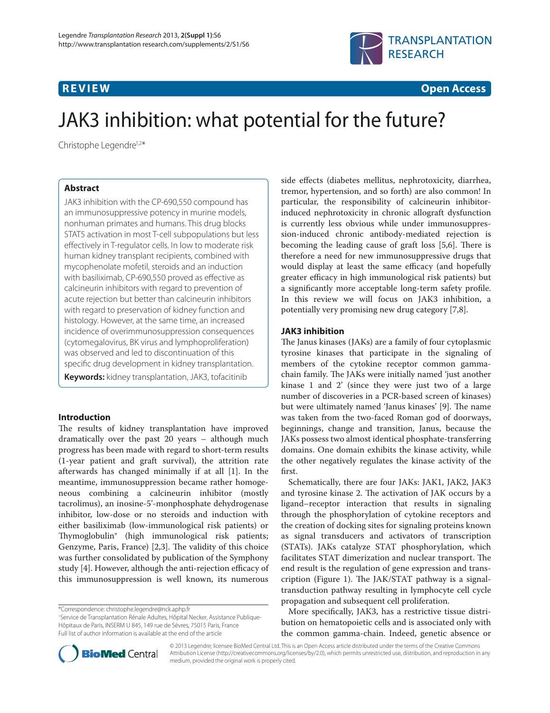

**R E V I E W Open Access**

# JAK3 inhibition: what potential for the future?

Christophe Legendre<sup>1,2\*</sup>

# **Abstract**

JAK3 inhibition with the CP-690,550 compound has an immunosuppressive potency in murine models, nonhuman primates and humans. This drug blocks STAT5 activation in most T-cell subpopulations but less effectively in T-regulator cells. In low to moderate risk human kidney transplant recipients, combined with mycophenolate mofetil, steroids and an induction with basiliximab, CP-690,550 proved as effective as calcineurin inhibitors with regard to prevention of acute rejection but better than calcineurin inhibitors with regard to preservation of kidney function and histology. However, at the same time, an increased incidence of overimmunosuppression consequences (cytomegalovirus, BK virus and lymphoproliferation) was observed and led to discontinuation of this specific drug development in kidney transplantation.

**Keywords:** kidney transplantation, JAK3, tofacitinib

# **Introduction**

The results of kidney transplantation have improved dramatically over the past 20 years – although much progress has been made with regard to short-term results (1-year patient and graft survival), the attrition rate afterwards has changed minimally if at all [1]. In the meantime, immuno suppression became rather homogeneous combining a calcineurin inhibitor (mostly tacrolimus), an inosine-5'-monphosphate dehydrogenase inhibitor, low-dose or no steroids and induction with either basiliximab (low-immunological risk patients) or Thymoglobulin<sup>®</sup> (high immunological risk patients; Genzyme, Paris, France) [2,3]. The validity of this choice was further consolidated by publication of the Symphony study [4]. However, although the anti-rejection efficacy of this immunosuppression is well known, its numerous

\*Correspondence: christophe.legendre@nck.aphp.fr

1 Service de Transplantation Rénale Adultes, Hôpital Necker, Assistance Publique-Hôpitaux de Paris, INSERM U 845, 149 rue de Sèvres, 75015 Paris, France Full list of author information is available at the end of the article

side effects (diabetes mellitus, nephrotoxicity, diarrhea, tremor, hypertension, and so forth) are also common! In particular, the responsibility of calcineurin inhibitorinduced nephrotoxicity in chronic allograft dysfunction is currently less obvious while under immuno suppression-induced chronic antibody-mediated rejection is becoming the leading cause of graft loss [5,6]. There is therefore a need for new immunosuppressive drugs that would display at least the same efficacy (and hopefully greater efficacy in high immunological risk patients) but a significantly more acceptable long-term safety profile. In this review we will focus on JAK3 inhibition, a potentially very promising new drug category [7,8].

# **JAK3 inhibition**

The Janus kinases (JAKs) are a family of four cytoplasmic tyrosine kinases that participate in the signaling of members of the cytokine receptor common gammachain family. The JAKs were initially named 'just another kinase 1 and 2' (since they were just two of a large number of discoveries in a PCR-based screen of kinases) but were ultimately named 'Janus kinases' [9]. The name was taken from the two-faced Roman god of doorways, beginnings, change and transition, Janus, because the JAKs possess two almost identical phosphate-transferring domains. One domain exhibits the kinase activity, while the other negatively regulates the kinase activity of the first.

Schematically, there are four JAKs: JAK1, JAK2, JAK3 and tyrosine kinase 2. The activation of JAK occurs by a ligand–receptor interaction that results in signaling through the phosphorylation of cytokine receptors and the creation of docking sites for signaling proteins known as signal transducers and activators of transcription (STATs). JAKs catalyze STAT phosphorylation, which facilitates STAT dimerization and nuclear transport. The end result is the regulation of gene expression and transcription (Figure 1). The JAK/STAT pathway is a signaltrans duction pathway resulting in lymphocyte cell cycle propagation and subsequent cell proliferation.

More specifically, JAK3, has a restrictive tissue distribution on hematopoietic cells and is associated only with the common gamma-chain. Indeed, genetic absence or



© 2013 Legendre; licensee BioMed Central Ltd. This is an Open Access article distributed under the terms of the Creative Commons Attribution License (http://creativecommons.org/licenses/by/2.0), which permits unrestricted use, distribution, and reproduction in any medium, provided the original work is properly cited.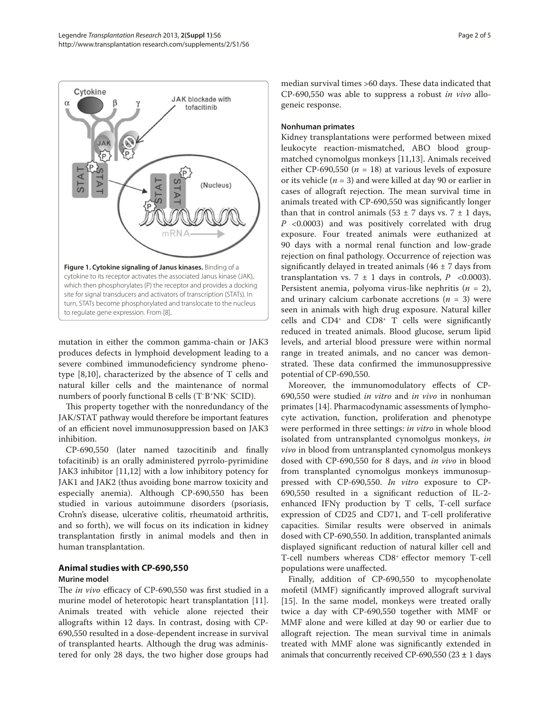

mutation in either the common gamma-chain or JAK3 produces defects in lymphoid development leading to a severe combined immunodeficiency syndrome phenotype [8,10], characterized by the absence of T cells and natural killer cells and the maintenance of normal numbers of poorly functional B cells (T–B+NK– SCID).

This property together with the nonredundancy of the JAK/STAT pathway would therefore be important features of an efficient novel immunosuppression based on JAK3 inhibition.

CP-690,550 (later named tazocitinib and finally tofacitinib) is an orally administered pyrrolo-pyrimidine JAK3 inhibitor [11,12] with a low inhibitory potency for JAK1 and JAK2 (thus avoiding bone marrow toxicity and especially anemia). Although CP-690,550 has been studied in various autoimmune disorders (psoriasis, Crohn's disease, ulcerative colitis, rheumatoid arthritis, and so forth), we will focus on its indication in kidney transplantation firstly in animal models and then in human transplantation.

### **Animal studies with CP-690,550 Murine model**

The *in vivo* efficacy of CP-690,550 was first studied in a murine model of heterotopic heart transplantation [11]. Animals treated with vehicle alone rejected their allografts within 12 days. In contrast, dosing with CP-690,550 resulted in a dose-dependent increase in survival of transplanted hearts. Although the drug was administered for only 28 days, the two higher dose groups had median survival times >60 days. These data indicated that CP-690,550 was able to suppress a robust *in vivo* allogeneic response.

## **Nonhuman primates**

Kidney transplantations were performed between mixed leukocyte reaction-mismatched, ABO blood groupmatched cynomolgus monkeys [11,13]. Animals received either CP-690,550 ( $n = 18$ ) at various levels of exposure or its vehicle (*n* = 3) and were killed at day 90 or earlier in cases of allograft rejection. The mean survival time in animals treated with CP-690,550 was significantly longer than that in control animals (53  $\pm$  7 days vs. 7  $\pm$  1 days, *P*  <0.0003) and was positively correlated with drug exposure. Four treated animals were euthanized at 90 days with a normal renal function and low-grade rejection on final pathology. Occurrence of rejection was significantly delayed in treated animals (46  $\pm$  7 days from transplantation vs.  $7 \pm 1$  days in controls,  $P \le 0.0003$ ). Persistent anemia, polyoma virus-like nephritis  $(n = 2)$ , and urinary calcium carbonate accretions  $(n = 3)$  were seen in animals with high drug exposure. Natural killer cells and  $CD4^+$  and  $CD8^+$  T cells were significantly reduced in treated animals. Blood glucose, serum lipid levels, and arterial blood pressure were within normal range in treated animals, and no cancer was demonstrated. These data confirmed the immunosuppressive potential of CP-690,550.

Moreover, the immunomodulatory effects of CP-690,550 were studied *in vitro* and *in vivo* in nonhuman primates [14]. Pharmacodynamic assessments of lymphocyte activation, function, proliferation and phenotype were performed in three settings: *in vitro* in whole blood isolated from untransplanted cynomolgus monkeys, *in vivo* in blood from untransplanted cynomolgus monkeys dosed with CP-690,550 for 8 days, and *in vivo* in blood from transplanted cynomolgus monkeys immunosuppressed with CP-690,550. *In vitro* exposure to CP-690,550 resulted in a significant reduction of IL-2enhanced IFNγ production by T cells, T-cell surface expression of CD25 and CD71, and T-cell proliferative capacities. Similar results were observed in animals dosed with CP-690,550. In addition, transplanted animals displayed significant reduction of natural killer cell and T-cell numbers whereas CD8<sup>+</sup> effector memory T-cell populations were unaffected.

Finally, addition of CP-690,550 to mycophenolate mofetil (MMF) significantly improved allograft survival [15]. In the same model, monkeys were treated orally twice a day with CP-690,550 together with MMF or MMF alone and were killed at day 90 or earlier due to allograft rejection. The mean survival time in animals treated with MMF alone was significantly extended in animals that concurrently received CP-690,550 (23 **±** 1 days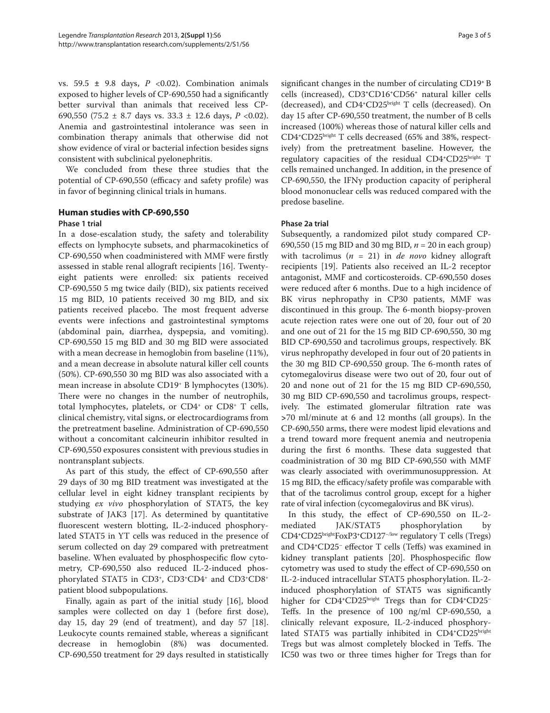vs. 59.5 **±**  9.8 days, *P*  <0.02). Combination animals exposed to higher levels of CP-690,550 had a significantly better survival than animals that received less CP-690,550 (75.2 ± 8.7 days vs. 33.3 ± 12.6 days, *P*  <0.02). Anemia and gastrointestinal intolerance was seen in combination therapy animals that otherwise did not show evidence of viral or bacterial infection besides signs consistent with subclinical pyelonephritis.

We concluded from these three studies that the potential of CP-690,550 (efficacy and safety profile) was in favor of beginning clinical trials in humans.

# **Human studies with CP-690,550**

## **Phase 1 trial**

In a dose-escalation study, the safety and tolerability effects on lymphocyte subsets, and pharmacokinetics of CP-690,550 when coadministered with MMF were firstly assessed in stable renal allograft recipients [16]. Twentyeight patients were enrolled: six patients received CP-690,550 5 mg twice daily (BID), six patients received 15 mg BID, 10 patients received 30 mg BID, and six patients received placebo. The most frequent adverse events were infections and gastrointestinal symptoms (abdominal pain, diarrhea, dyspepsia, and vomiting). CP-690,550 15 mg BID and 30 mg BID were associated with a mean decrease in hemoglobin from baseline (11%), and a mean decrease in absolute natural killer cell counts (50%). CP-690,550 30 mg BID was also associated with a mean increase in absolute CD19+ B lymphocytes (130%). There were no changes in the number of neutrophils, total lymphocytes, platelets, or  $CD4^+$  or  $CD8^+$  T cells, clinical chemistry, vital signs, or electrocardiograms from the pretreatment baseline. Administration of CP-690,550 without a concomitant calcineurin inhibitor resulted in CP-690,550 exposures consistent with previous studies in nontransplant subjects.

As part of this study, the effect of CP-690,550 after 29 days of 30 mg BID treatment was investigated at the cellular level in eight kidney transplant recipients by studying *ex vivo* phosphorylation of STAT5, the key substrate of JAK3 [17]. As determined by quantitative fluorescent western blotting, IL-2-induced phosphorylated STAT5 in YT cells was reduced in the presence of serum collected on day 29 compared with pretreatment baseline. When evaluated by phosphospecific flow cytometry, CP-690,550 also reduced IL-2-induced phosphorylated STAT5 in CD3<sup>+</sup>, CD3<sup>+</sup>CD4<sup>+</sup> and CD3<sup>+</sup>CD8<sup>+</sup> patient blood subpopulations.

Finally, again as part of the initial study [16], blood samples were collected on day 1 (before first dose), day 15, day 29 (end of treatment), and day 57 [18]. Leukocyte counts remained stable, whereas a significant decrease in hemoglobin (8%) was documented. CP-690,550 treatment for 29 days resulted in statistically significant changes in the number of circulating CD19<sup>+</sup>B cells (increased), CD3**<sup>+</sup>**CD16**<sup>+</sup>**CD56**<sup>+</sup>** natural killer cells (decreased), and CD4**<sup>+</sup>**CD25bright T cells (decreased). On day 15 after CP-690,550 treatment, the number of B cells increased (100%) whereas those of natural killer cells and CD4**+**CD25bright T cells decreased (65% and 38%, respectively) from the pretreatment baseline. However, the regulatory capacities of the residual CD4**<sup>+</sup>**CD25bright T cells remained unchanged. In addition, in the presence of CP-690,550, the IFNγ production capacity of peripheral blood mononuclear cells was reduced compared with the predose baseline.

# **Phase 2a trial**

Subsequently, a randomized pilot study compared CP-690,550 (15 mg BID and 30 mg BID, *n* = 20 in each group) with tacrolimus (*n* = 21) in *de novo* kidney allograft recipients [19]. Patients also received an IL-2 receptor antagonist, MMF and corticosteroids. CP-690,550 doses were reduced after 6 months. Due to a high incidence of BK virus nephropathy in CP30 patients, MMF was discontinued in this group. The 6-month biopsy-proven acute rejection rates were one out of 20, four out of 20 and one out of 21 for the 15 mg BID CP-690,550, 30 mg BID CP-690,550 and tacrolimus groups, respectively. BK virus nephropathy developed in four out of 20 patients in the 30 mg BID CP-690,550 group. The 6-month rates of cytomegalovirus disease were two out of 20, four out of 20 and none out of 21 for the 15 mg BID CP-690,550, 30 mg BID CP-690,550 and tacrolimus groups, respectively. The estimated glomerular filtration rate was **>**70 ml/minute at 6 and 12 months (all groups). In the CP-690,550 arms, there were modest lipid elevations and a trend toward more frequent anemia and neutropenia during the first 6 months. These data suggested that coadministration of 30 mg BID CP-690,550 with MMF was clearly associated with overimmunosuppression. At 15 mg BID, the efficacy/safety profile was comparable with that of the tacrolimus control group, except for a higher rate of viral infection (cycomegalovirus and BK virus).

In this study, the effect of CP-690,550 on IL-2mediated JAK/STAT5 phosphorylation by CD4**<sup>+</sup>**CD25brightFoxP3**+**CD127−/low regulatory T cells (Tregs) and CD4<sup>+</sup>CD25<sup>-</sup> effector T cells (Teffs) was examined in kidney transplant patients [20]. Phosphospecific flow cytometry was used to study the effect of CP-690,550 on IL-2-induced intracellular STAT5 phosphorylation. IL-2induced phosphorylation of STAT5 was significantly higher for CD4**<sup>+</sup>**CD25bright Tregs than for CD4**+**CD25– Teffs. In the presence of  $100$  ng/ml CP-690,550, a clinically relevant exposure, IL-2-induced phosphorylated STAT5 was partially inhibited in CD4**<sup>+</sup>**CD25bright Tregs but was almost completely blocked in Teffs. The IC50 was two or three times higher for Tregs than for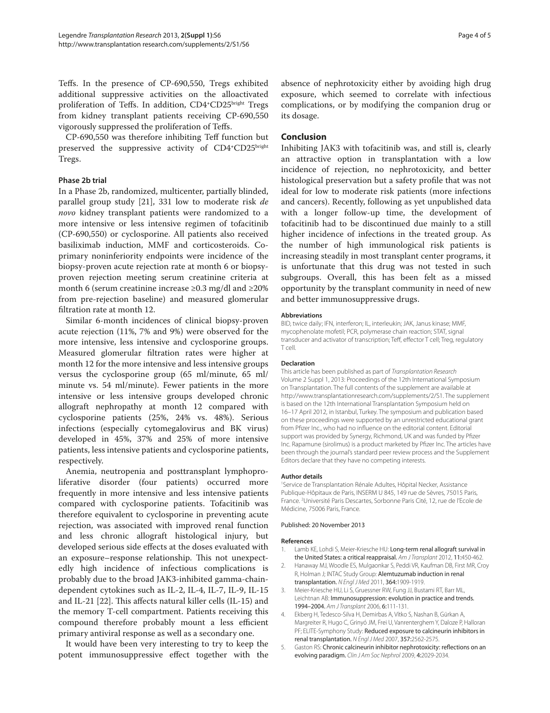Teffs. In the presence of CP-690,550, Tregs exhibited additional suppressive activities on the alloactivated proliferation of Teffs. In addition, CD4<sup>+</sup>CD25bright Tregs from kidney transplant patients receiving CP-690,550 vigorously suppressed the proliferation of Teffs.

CP-690,550 was therefore inhibiting Teff function but preserved the suppressive activity of CD4<sup>+</sup>CD25<sup>bright</sup> Tregs.

#### **Phase 2b trial**

In a Phase 2b, randomized, multicenter, partially blinded, parallel group study [21], 331 low to moderate risk *de novo* kidney transplant patients were randomized to a more intensive or less intensive regimen of tofacitinib (CP-690,550) or cyclosporine. All patients also received basiliximab induction, MMF and corticosteroids. Coprimary noninferiority endpoints were incidence of the biopsy-proven acute rejection rate at month 6 or biopsyproven rejection meeting serum creatinine criteria at month 6 (serum creatinine increase ≥0.3 mg/dl and ≥20% from pre-rejection baseline) and measured glomerular filtration rate at month 12.

Similar 6-month incidences of clinical biopsy-proven acute rejection (11%, 7% and 9%) were observed for the more intensive, less intensive and cyclosporine groups. Measured glomerular filtration rates were higher at month 12 for the more intensive and less intensive groups versus the cyclosporine group (65 ml/minute, 65 ml/ minute vs. 54 ml/minute). Fewer patients in the more intensive or less intensive groups developed chronic allograft nephropathy at month 12 compared with cyclosporine patients (25%, 24% vs. 48%). Serious infections (especially cytomegalovirus and BK virus) developed in 45%, 37% and 25% of more intensive patients, less intensive patients and cyclosporine patients, respectively.

Anemia, neutropenia and posttransplant lymphoproliferative disorder (four patients) occurred more frequently in more intensive and less intensive patients compared with cyclosporine patients. Tofacitinib was therefore equivalent to cyclosporine in preventing acute rejection, was associated with improved renal function and less chronic allograft histological injury, but developed serious side effects at the doses evaluated with an exposure–response relationship. This not unexpectedly high incidence of infectious complications is probably due to the broad JAK3-inhibited gamma-chaindependent cytokines such as IL-2, IL-4, IL-7, IL-9, IL-15 and IL-21 [22]. This affects natural killer cells  $(II-15)$  and the memory T-cell compartment. Patients receiving this compound therefore probably mount a less efficient primary antiviral response as well as a secondary one.

It would have been very interesting to try to keep the potent immunosuppressive effect together with the Page 4 of 5

absence of nephrotoxicity either by avoiding high drug exposure, which seemed to correlate with infectious complications, or by modifying the companion drug or its dosage.

## **Conclusion**

Inhibiting JAK3 with tofacitinib was, and still is, clearly an attractive option in transplantation with a low incidence of rejection, no nephrotoxicity, and better histological preservation but a safety profile that was not ideal for low to moderate risk patients (more infections and cancers). Recently, following as yet unpublished data with a longer follow-up time, the development of tofacitinib had to be discontinued due mainly to a still higher incidence of infections in the treated group. As the number of high immunological risk patients is increasing steadily in most transplant center programs, it is unfortunate that this drug was not tested in such subgroups. Overall, this has been felt as a missed opportunity by the transplant community in need of new and better immuno suppressive drugs.

#### **Abbreviations**

BID, twice daily; IFN, interferon; IL, interleukin; JAK, Janus kinase; MMF, mycophenolate mofetil; PCR, polymerase chain reaction; STAT, signal transducer and activator of transcription; Teff, effector T cell; Treg, regulatory T cell.

#### **Declaration**

This article has been published as part of Transplantation Research Volume 2 Suppl 1, 2013: Proceedings of the 12th International Symposium on Transplantation. The full contents of the supplement are available at http://www.transplantationresearch.com/supplements/2/S1. The supplement is based on the 12th International Transplantation Symposium held on 16–17 April 2012, in Istanbul, Turkey. The symposium and publication based on these proceedings were supported by an unrestricted educational grant from Pfizer Inc., who had no influence on the editorial content. Editorial support was provided by Synergy, Richmond, UK and was funded by Pfizer Inc. Rapamune (sirolimus) is a product marketed by Pfizer Inc. The articles have been through the journal's standard peer review process and the Supplement Editors declare that they have no competing interests.

#### **Author details**

1 Service de Transplantation Rénale Adultes, Hôpital Necker, Assistance Publique-Hôpitaux de Paris, INSERM U 845, 149 rue de Sèvres, 75015 Paris, France. <sup>2</sup>Université Paris Descartes, Sorbonne Paris Cité, 12, rue de l'Ecole de Médicine, 75006 Paris, France.

#### Published: 20 November 2013

#### **References**

- 1. Lamb KE, Lohdi S, Meier-Kriesche HU: Long-term renal allograft survival in the United States: a critical reappraisal. Am J Transplant 2012, 11:450-462.
- 2. Hanaway MJ, Woodle ES, Mulgaonkar S, Peddi VR, Kaufman DB, First MR, Croy R, Holman J; INTAC Study Group: Alemtuzumab induction in renal transplantation. N Engl J Med 2011, 364:1909-1919.
- 3. Meier-Kriesche HU, Li S, Gruessner RW, Fung JJ, Bustami RT, Barr ML, Leichtnan AB: Immunosuppression: evolution in practice and trends. 1994–2004. Am J Transplant 2006, 6:111-131.
- 4. Ekberg H, Tedesco-Silva H, Demirbas A, Vítko S, Nashan B, Gürkan A, Margreiter R, Hugo C, Grinyó JM, Frei U, Vanrenterghem Y, Daloze P, Halloran PF; ELITE-Symphony Study: Reduced exposure to calcineurin inhibitors in renal transplantation. N Engl J Med 2007, 357:2562-2575.
- 5. Gaston RS: Chronic calcineurin inhibitor nephrotoxicity: reflections on an evolving paradigm. Clin J Am Soc Nephrol 2009, 4:2029-2034.